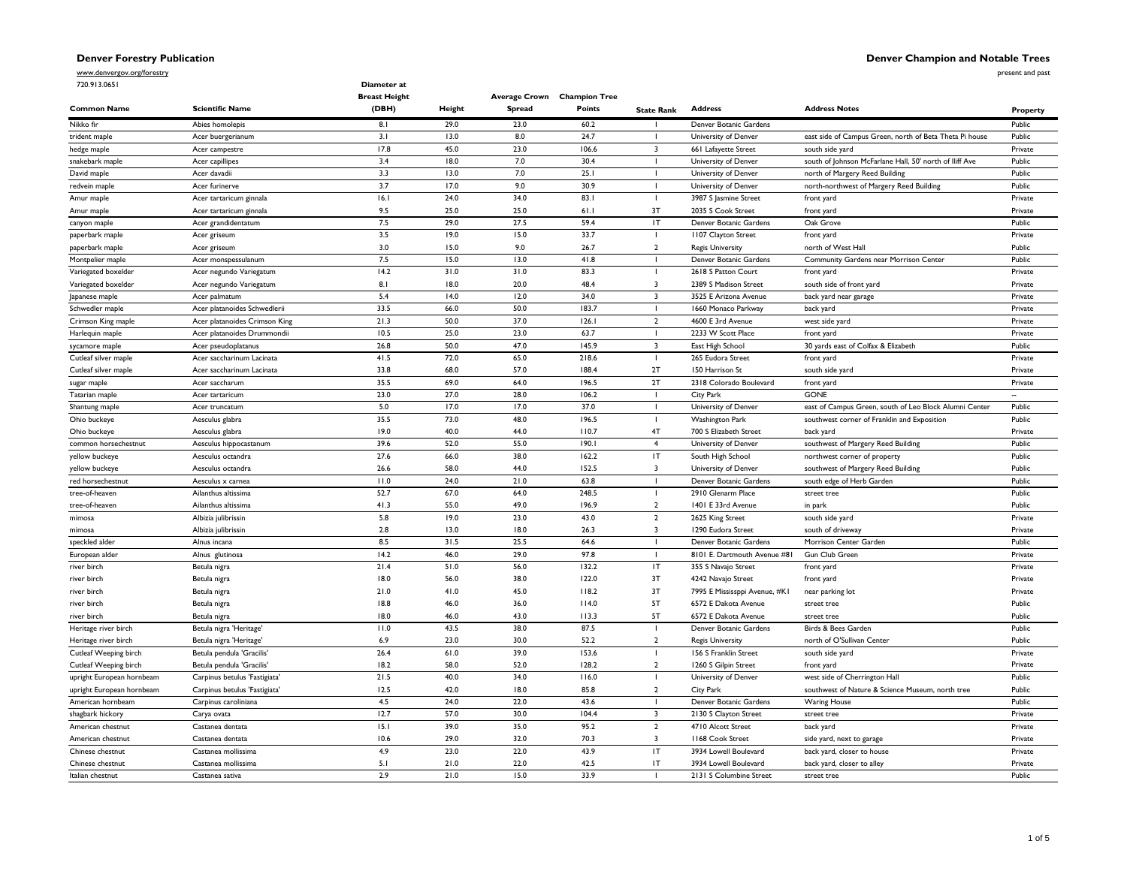present and past

www.denvergov.org/forestry

| 720.913.0651              |                               | Diameter at<br><b>Breast Height</b> |        | <b>Average Crown</b> Champion Tree |        |                         |                               |                                                         |          |
|---------------------------|-------------------------------|-------------------------------------|--------|------------------------------------|--------|-------------------------|-------------------------------|---------------------------------------------------------|----------|
| <b>Common Name</b>        | <b>Scientific Name</b>        | (DBH)                               | Height | <b>Spread</b>                      | Points | <b>State Rank</b>       | <b>Address</b>                | <b>Address Notes</b>                                    | Property |
| Nikko fir                 | Abies homolepis               | 8.1                                 | 29.0   | 23.0                               | 60.2   |                         | Denver Botanic Gardens        |                                                         | Public   |
| trident maple             | Acer buergerianum             | 3.1                                 | 13.0   | 8.0                                | 24.7   |                         | University of Denver          | east side of Campus Green, north of Beta Theta Pi house | Public   |
| hedge maple               | Acer campestre                | 17.8                                | 45.0   | 23.0                               | 106.6  | $\overline{\mathbf{3}}$ | 661 Lafayette Street          | south side yard                                         | Private  |
| snakebark maple           | Acer capillipes               | 3.4                                 | 18.0   | 7.0                                | 30.4   | $\mathbf{I}$            | University of Denver          | south of Johnson McFarlane Hall, 50' north of lliff Ave | Public   |
| David maple               | Acer davadii                  | 3.3                                 | 13.0   | 7.0                                | 25.1   |                         | University of Denver          | north of Margery Reed Building                          | Public   |
| redvein maple             | Acer furinerve                | 3.7                                 | 17.0   | 9.0                                | 30.9   | $\mathbf{I}$            | University of Denver          | north-northwest of Margery Reed Building                | Public   |
| Amur maple                | Acer tartaricum ginnala       | 16.1                                | 24.0   | 34.0                               | 83.1   | L.                      | 3987 S Jasmine Street         | front yard                                              | Private  |
| Amur maple                | Acer tartaricum ginnala       | 9.5                                 | 25.0   | 25.0                               | 61.1   | 3T                      | 2035 S Cook Street            | front yard                                              | Private  |
| canyon maple              | Acer grandidentatum           | 7.5                                 | 29.0   | 27.5                               | 59.4   | IT                      | Denver Botanic Gardens        | Oak Grove                                               | Public   |
| paperbark maple           | Acer griseum                  | 3.5                                 | 19.0   | 15.0                               | 33.7   |                         | 1107 Clayton Street           | front yard                                              | Private  |
| paperbark maple           | Acer griseum                  | 3.0                                 | 15.0   | 9.0                                | 26.7   | $\overline{2}$          | <b>Regis University</b>       | north of West Hall                                      | Public   |
| Montpelier maple          | Acer monspessulanum           | 7.5                                 | 15.0   | 13.0                               | 41.8   | $\blacksquare$          | Denver Botanic Gardens        | Community Gardens near Morrison Center                  | Public   |
| Variegated boxelder       | Acer negundo Variegatum       | 14.2                                | 31.0   | 31.0                               | 83.3   | L                       | 2618 S Patton Court           | front yard                                              | Private  |
| Variegated boxelder       | Acer negundo Variegatum       | 8.1                                 | 18.0   | 20.0                               | 48.4   | $\overline{3}$          | 2389 S Madison Street         | south side of front yard                                | Private  |
| Japanese maple            | Acer palmatum                 | 5.4                                 | 14.0   | 12.0                               | 34.0   | $\overline{\mathbf{3}}$ | 3525 E Arizona Avenue         | back yard near garage                                   | Private  |
| Schwedler maple           | Acer platanoides Schwedlerii  | 33.5                                | 66.0   | 50.0                               | 183.7  |                         | 1660 Monaco Parkway           | back yard                                               | Private  |
| Crimson King maple        | Acer platanoides Crimson King | 21.3                                | 50.0   | 37.0                               | 126.1  | $\overline{2}$          | 4600 E 3rd Avenue             | west side yard                                          | Private  |
| Harlequin maple           | Acer platanoides Drummondii   | 10.5                                | 25.0   | 23.0                               | 63.7   |                         | 2233 W Scott Place            | front yard                                              | Private  |
| sycamore maple            | Acer pseudoplatanus           | 26.8                                | 50.0   | 47.0                               | 145.9  | $\overline{\mathbf{3}}$ | East High School              | 30 yards east of Colfax & Elizabeth                     | Public   |
| Cutleaf silver maple      | Acer saccharinum Lacinata     | 41.5                                | 72.0   | 65.0                               | 218.6  | $\mathbf{I}$            | 265 Eudora Street             | front yard                                              | Private  |
| Cutleaf silver maple      | Acer saccharinum Lacinata     | 33.8                                | 68.0   | 57.0                               | 188.4  | 2T                      | 150 Harrison St               | south side yard                                         | Private  |
| sugar maple               | Acer saccharum                | 35.5                                | 69.0   | 64.0                               | 196.5  | 2T                      | 2318 Colorado Boulevard       | front yard                                              | Private  |
| Tatarian maple            | Acer tartaricum               | 23.0                                | 27.0   | 28.0                               | 106.2  | $\mathbf{I}$            | City Park                     | <b>GONE</b>                                             | $\sim$   |
| Shantung maple            | Acer truncatum                | 5.0                                 | 17.0   | 17.0                               | 37.0   | $\mathbf{I}$            | University of Denver          | east of Campus Green, south of Leo Block Alumni Center  | Public   |
| Ohio buckeye              | Aesculus glabra               | 35.5                                | 73.0   | 48.0                               | 196.5  | $\mathbf{I}$            | Washington Park               | southwest corner of Franklin and Exposition             | Public   |
| Ohio buckeye              | Aesculus glabra               | 19.0                                | 40.0   | 44.0                               | 110.7  | 4T                      | 700 S Elizabeth Street        | back yard                                               | Private  |
| common horsechestnut      | Aesculus hippocastanum        | 39.6                                | 52.0   | 55.0                               | 190.1  | $\overline{4}$          | University of Denver          | southwest of Margery Reed Building                      | Public   |
| yellow buckeye            | Aesculus octandra             | 27.6                                | 66.0   | 38.0                               | 162.2  | IT                      | South High School             | northwest corner of property                            | Public   |
| yellow buckeye            | Aesculus octandra             | 26.6                                | 58.0   | 44.0                               | 152.5  | 3                       | University of Denver          | southwest of Margery Reed Building                      | Public   |
| red horsechestnut         | Aesculus x carnea             | 11.0                                | 24.0   | 21.0                               | 63.8   |                         | Denver Botanic Gardens        | south edge of Herb Garden                               | Public   |
| tree-of-heaven            | Ailanthus altissima           | 52.7                                | 67.0   | 64.0                               | 248.5  | $\mathbf{I}$            | 2910 Glenarm Place            | street tree                                             | Public   |
| tree-of-heaven            | Ailanthus altissima           | 41.3                                | 55.0   | 49.0                               | 196.9  | $\overline{2}$          | 1401 E 33rd Avenue            | in park                                                 | Public   |
| mimosa                    | Albizia julibrissin           | 5.8                                 | 19.0   | 23.0                               | 43.0   | $\overline{2}$          | 2625 King Street              | south side yard                                         | Private  |
| mimosa                    | Albizia julibrissin           | 2.8                                 | 13.0   | 18.0                               | 26.3   | 3                       | 1290 Eudora Street            | south of driveway                                       | Private  |
| speckled alder            | Alnus incana                  | 8.5                                 | 31.5   | 25.5                               | 64.6   |                         | Denver Botanic Gardens        | Morrison Center Garden                                  | Public   |
| European alder            | Alnus glutinosa               | 14.2                                | 46.0   | 29.0                               | 97.8   | $\mathbf{I}$            | 8101 E. Dartmouth Avenue #81  | Gun Club Green                                          | Private  |
| river birch               | Betula nigra                  | 21.4                                | 51.0   | 56.0                               | 132.2  | IT                      | 355 S Navajo Street           | front yard                                              | Private  |
| river birch               | Betula nigra                  | 18.0                                | 56.0   | 38.0                               | 122.0  | 3T                      | 4242 Navajo Street            | front yard                                              | Private  |
| river birch               | Betula nigra                  | 21.0                                | 41.0   | 45.0                               | 118.2  | 3T                      | 7995 E Mississppi Avenue, #KI | near parking lot                                        | Private  |
| river birch               | Betula nigra                  | 18.8                                | 46.0   | 36.0                               | 114.0  | 5T                      | 6572 E Dakota Avenue          | street tree                                             | Public   |
| river birch               | Betula nigra                  | 18.0                                | 46.0   | 43.0                               | 113.3  | 5T                      | 6572 E Dakota Avenue          | street tree                                             | Public   |
| Heritage river birch      | Betula nigra 'Heritage'       | 11.0                                | 43.5   | 38.0                               | 87.5   |                         | Denver Botanic Gardens        | Birds & Bees Garden                                     | Public   |
| Heritage river birch      | Betula nigra 'Heritage'       | 6.9                                 | 23.0   | 30.0                               | 52.2   | $\overline{2}$          | <b>Regis University</b>       | north of O'Sullivan Center                              | Public   |
| Cutleaf Weeping birch     | Betula pendula 'Gracilis'     | 26.4                                | 61.0   | 39.0                               | 153.6  | $\blacksquare$          | 156 S Franklin Street         | south side yard                                         | Private  |
| Cutleaf Weeping birch     | Betula pendula 'Gracilis'     | 18.2                                | 58.0   | 52.0                               | 128.2  | $\overline{2}$          | 1260 S Gilpin Street          | front yard                                              | Private  |
| upright European hornbeam | Carpinus betulus 'Fastigiata' | 21.5                                | 40.0   | 34.0                               | 116.0  |                         | University of Denver          | west side of Cherrington Hall                           | Public   |
| upright European hornbeam | Carpinus betulus 'Fastigiata' | 12.5                                | 42.0   | 18.0                               | 85.8   | $\overline{2}$          | City Park                     | southwest of Nature & Science Museum, north tree        | Public   |
| American hornbeam         | Carpinus caroliniana          | 4.5                                 | 24.0   | 22.0                               | 43.6   | $\mathbf{I}$            | Denver Botanic Gardens        | <b>Waring House</b>                                     | Public   |
| shagbark hickory          | Carya ovata                   | 12.7                                | 57.0   | 30.0                               | 104.4  | $\overline{3}$          | 2130 S Clayton Street         | street tree                                             | Private  |
| American chestnut         | Castanea dentata              | 15.1                                | 39.0   | 35.0                               | 95.2   | $\overline{2}$          | 4710 Alcott Street            | back yard                                               | Private  |
| American chestnut         | Castanea dentata              | 10.6                                | 29.0   | 32.0                               | 70.3   | $\overline{\mathbf{3}}$ | 1168 Cook Street              | side yard, next to garage                               | Private  |
| Chinese chestnut          | Castanea mollissima           | 4.9                                 | 23.0   | 22.0                               | 43.9   | IT                      | 3934 Lowell Boulevard         | back yard, closer to house                              | Private  |
| Chinese chestnut          | Castanea mollissima           | 5.1                                 | 21.0   | 22.0                               | 42.5   | IT                      | 3934 Lowell Boulevard         | back yard, closer to alley                              | Private  |
| Italian chestnut          | Castanea sativa               | 2.9                                 | 21.0   | 15.0                               | 33.9   |                         | 2131 S Columbine Street       | street tree                                             | Public   |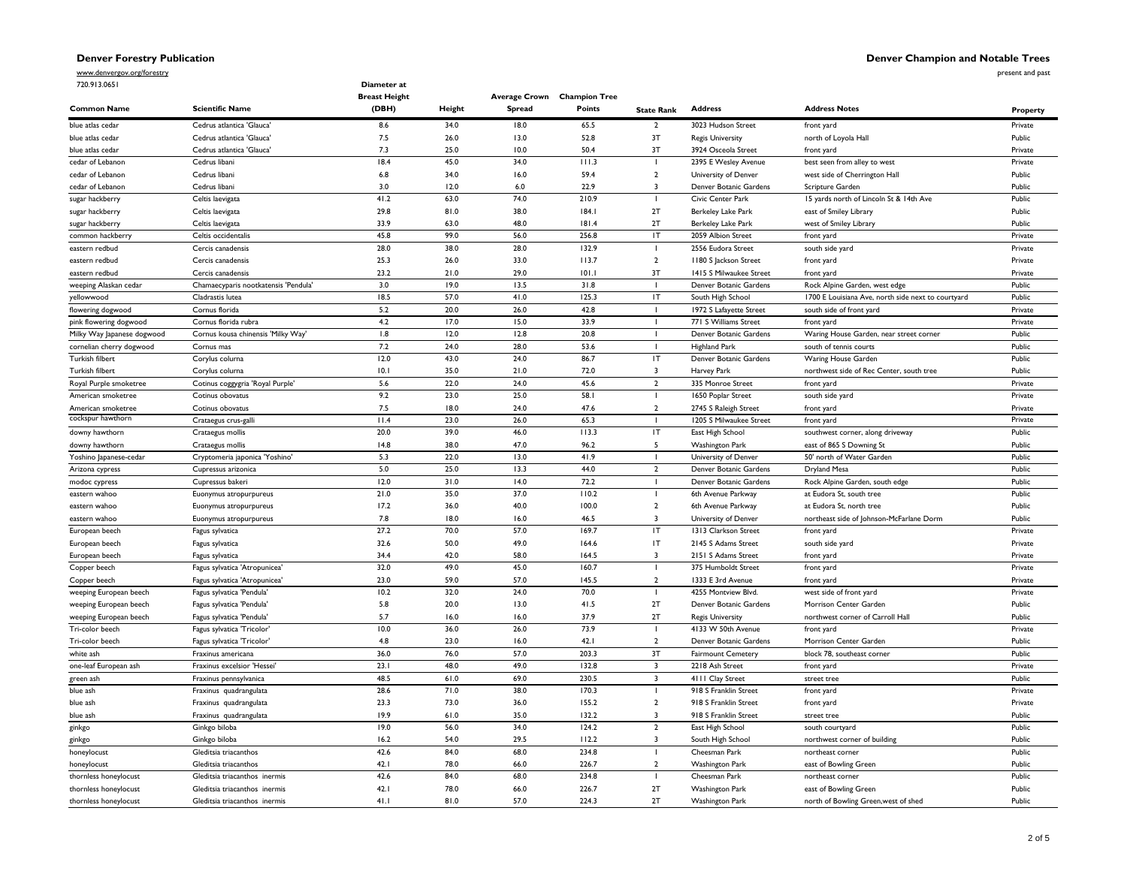# **Denver Champion and Notable Trees**

www.denvergov.org/forestry 720.913.0651

present and past

| 720.913.0651               |                                      | Diameter at<br><b>Breast Height</b> |              | Average Crown Champion Tree |               |                         |                           |                                                    |          |
|----------------------------|--------------------------------------|-------------------------------------|--------------|-----------------------------|---------------|-------------------------|---------------------------|----------------------------------------------------|----------|
| <b>Common Name</b>         | <b>Scientific Name</b>               | (DBH)                               | Height       | Spread                      | Points        | <b>State Rank</b>       | <b>Address</b>            | <b>Address Notes</b>                               | Property |
| blue atlas cedar           | Cedrus atlantica 'Glauca'            | 8.6                                 | 34.0         | 18.0                        | 65.5          | $\overline{2}$          | 3023 Hudson Street        | front yard                                         | Private  |
| blue atlas cedar           | Cedrus atlantica 'Glauca'            | $7.5$                               | 26.0         | 13.0                        | 52.8          | 3T                      | <b>Regis University</b>   | north of Loyola Hall                               | Public   |
| blue atlas cedar           | Cedrus atlantica 'Glauca'            | 7.3                                 | 25.0         | 10.0                        | 50.4          | 3T                      | 3924 Osceola Street       | front yard                                         | Private  |
| cedar of Lebanon           | Cedrus libani                        | 18.4                                | 45.0         | 34.0                        | 111.3         | ı                       | 2395 E Wesley Avenue      | best seen from alley to west                       | Private  |
| cedar of Lebanon           | Cedrus libani                        | 6.8                                 | 34.0         | 16.0                        | 59.4          | $\overline{2}$          | University of Denver      | west side of Cherrington Hall                      | Public   |
| cedar of Lebanon           | Cedrus libani                        | 3.0                                 | 12.0         | 6.0                         | 22.9          | 3                       | Denver Botanic Gardens    | Scripture Garden                                   | Public   |
| sugar hackberry            | Celtis laevigata                     | 41.2                                | 63.0         | 74.0                        | 210.9         | $\mathbf{I}$            | Civic Center Park         | 15 yards north of Lincoln St & 14th Ave            | Public   |
| sugar hackberry            | Celtis laevigata                     | 29.8                                | 81.0         | 38.0                        | 184.1         | 2T                      | Berkeley Lake Park        | east of Smiley Library                             | Public   |
| sugar hackberry            | Celtis laevigata                     | 33.9                                | 63.0         | 48.0                        | 181.4         | 2T                      | <b>Berkeley Lake Park</b> | west of Smiley Library                             | Public   |
| common hackberry           | Celtis occidentalis                  | 45.8                                | 99.0         | 56.0                        | 256.8         | IT                      | 2059 Albion Street        | front yard                                         | Private  |
| eastern redbud             | Cercis canadensis                    | 28.0                                | 38.0         | 28.0                        | 132.9         |                         | 2556 Eudora Street        | south side yard                                    | Private  |
| eastern redbud             | Cercis canadensis                    | 25.3                                | 26.0         | 33.0                        | 113.7         | $\overline{2}$          | I 180 S Jackson Street    | front yard                                         | Private  |
| eastern redbud             | Cercis canadensis                    | 23.2                                | 21.0         | 29.0                        | 101.1         | 3T                      | 1415 S Milwaukee Street   | front yard                                         | Private  |
| weeping Alaskan cedar      | Chamaecyparis nootkatensis 'Pendula' | 3.0                                 | 19.0         | 13.5                        | 31.8          |                         | Denver Botanic Gardens    | Rock Alpine Garden, west edge                      | Public   |
| yellowwood                 | Cladrastis lutea                     | 18.5                                | 57.0         | 41.0                        | 125.3         | IT                      | South High School         | 1700 E Louisiana Ave, north side next to courtyard | Public   |
| flowering dogwood          | Cornus florida                       | 5.2                                 | 20.0         | 26.0                        | 42.8          | $\blacksquare$          | 1972 S Lafayette Street   | south side of front yard                           | Private  |
| pink flowering dogwood     | Cornus florida rubra                 | 4.2                                 | 17.0         | 15.0                        | 33.9          |                         | 771 S Williams Street     | front yard                                         | Private  |
| Milky Way Japanese dogwood | Cornus kousa chinensis 'Milky Way    | 1.8                                 | 12.0         | 12.8                        | 20.8          |                         | Denver Botanic Gardens    | Waring House Garden, near street corner            | Public   |
| cornelian cherry dogwood   | Cornus mas                           | 7.2                                 | 24.0         | 28.0                        | 53.6          | $\mathbf{I}$            | <b>Highland Park</b>      | south of tennis courts                             | Public   |
| Turkish filbert            | Corylus colurna                      | 12.0                                | 43.0         | 24.0                        | 86.7          | IT                      | Denver Botanic Gardens    | Waring House Garden                                | Public   |
| Turkish filbert            | Corylus colurna                      | 10.1                                | 35.0         | 21.0                        | 72.0          | $\overline{\mathbf{3}}$ | Harvey Park               | northwest side of Rec Center, south tree           | Public   |
| Royal Purple smoketree     | Cotinus coggygria 'Royal Purple'     | 5.6                                 | 22.0         | 24.0                        | 45.6          | $\overline{2}$          | 335 Monroe Street         | front yard                                         | Private  |
| American smoketree         | Cotinus obovatus                     | 9.2                                 | 23.0         | 25.0                        | 58.1          |                         | 1650 Poplar Street        | south side yard                                    | Private  |
| American smoketree         | Cotinus obovatus                     | 7.5                                 | 18.0         | 24.0                        | 47.6          | $\overline{2}$          | 2745 S Raleigh Street     | front yard                                         | Private  |
| cockspur hawthorn          | Crataegus crus-gall                  | 11.4                                | 23.0         | 26.0                        | 65.3          | $\blacksquare$          | 1205 S Milwaukee Street   | front yard                                         | Private  |
| downy hawthorn             | Crataegus mollis                     | 20.0                                | 39.0         | 46.0                        | 113.3         | IT                      | East High School          | southwest corner, along driveway                   | Public   |
| downy hawthorn             | Crataegus mollis                     | 14.8                                | 38.0         | 47.0                        | 96.2          | 5                       | Washington Park           | east of 865 S Downing St                           | Public   |
| Yoshino Japanese-cedar     | Cryptomeria japonica 'Yoshino'       | 5.3                                 | 22.0         | 13.0                        | 41.9          |                         | University of Denver      | 50' north of Water Garden                          | Public   |
| Arizona cypress            | Cupressus arizonica                  | 5.0                                 | 25.0         | 13.3                        | 44.0          | $\overline{2}$          | Denver Botanic Gardens    | <b>Dryland Mesa</b>                                | Public   |
| modoc cypress              | Cupressus bakeri                     | 12.0                                | 31.0         | 14.0                        | 72.2          |                         | Denver Botanic Gardens    | Rock Alpine Garden, south edge                     | Public   |
| eastern wahoo              |                                      | 21.0                                | 35.0         | 37.0                        | 110.2         |                         | 6th Avenue Parkway        | at Eudora St, south tree                           | Public   |
|                            | Euonymus atropurpureus               |                                     |              |                             | 100.0         |                         |                           |                                                    |          |
| eastern wahoo              | Euonymus atropurpureus               | 17.2                                | 36.0         | 40.0                        |               | $\overline{2}$          | 6th Avenue Parkway        | at Eudora St, north tree                           | Public   |
| eastern wahoo              | Euonymus atropurpureus               | 7.8<br>27.2                         | 18.0<br>70.0 | 16.0<br>57.0                | 46.5<br>169.7 | 3<br>IT                 | University of Denver      | northeast side of Johnson-McFarlane Dorm           | Public   |
| European beech             | Fagus sylvatica                      |                                     |              |                             |               |                         | 1313 Clarkson Street      | front yard                                         | Private  |
| European beech             | Fagus sylvatica                      | 32.6                                | 50.0         | 49.0                        | 164.6         | IT                      | 2145 S Adams Street       | south side yard                                    | Private  |
| European beech             | Fagus sylvatica                      | 34.4                                | 42.0         | 58.0                        | 164.5         | $\overline{\mathbf{3}}$ | 2151 S Adams Street       | front yard                                         | Private  |
| Copper beech               | Fagus sylvatica 'Atropunicea'        | 32.0                                | 49.0         | 45.0                        | 160.7         |                         | 375 Humboldt Street       | front yard                                         | Private  |
| Copper beech               | Fagus sylvatica 'Atropunicea'        | 23.0                                | 59.0         | 57.0                        | 145.5         | $\overline{2}$          | 1333 E 3rd Avenue         | front yard                                         | Private  |
| weeping European beech     | Fagus sylvatica 'Pendula             | 10.2                                | 32.0         | 24.0                        | 70.0          |                         | 4255 Montview Blvd.       | west side of front yard                            | Private  |
| weeping European beech     | Fagus sylvatica 'Pendula'            | 5.8                                 | 20.0         | 13.0                        | 41.5          | 2T                      | Denver Botanic Gardens    | Morrison Center Garden                             | Public   |
| weeping European beech     | Fagus sylvatica 'Pendula'            | 5.7                                 | 16.0         | 16.0                        | 37.9          | 2T                      | <b>Regis University</b>   | northwest corner of Carroll Hall                   | Public   |
| Tri-color beech            | Fagus sylvatica 'Tricolor            | 10.0                                | 36.0         | 26.0                        | 73.9          | $\overline{1}$          | 4133 W 50th Avenue        | front yard                                         | Private  |
| Tri-color beech            | Fagus sylvatica 'Tricolor'           | 4.8                                 | 23.0         | 16.0                        | 42.1          | $\overline{2}$          | Denver Botanic Gardens    | Morrison Center Garden                             | Public   |
| white ash                  | Fraxinus americana                   | 36.0                                | 76.0         | 57.0                        | 203.3         | 3T                      | <b>Fairmount Cemetery</b> | block 78, southeast corner                         | Public   |
| one-leaf European ash      | Fraxinus excelsior 'Hessei'          | 23.1                                | 48.0         | 49.0                        | 132.8         | $\overline{\mathbf{3}}$ | 2218 Ash Street           | front yard                                         | Private  |
| green ash                  | Fraxinus pennsylvanica               | 48.5                                | 61.0         | 69.0                        | 230.5         | $\overline{\mathbf{3}}$ | 4111 Clay Street          | street tree                                        | Public   |
| blue ash                   | Fraxinus quadrangulata               | 28.6                                | 71.0         | 38.0                        | 170.3         |                         | 918 S Franklin Street     | front yard                                         | Private  |
| blue ash                   | Fraxinus quadrangulata               | 23.3                                | 73.0         | 36.0                        | 155.2         | $\overline{2}$          | 918 S Franklin Street     | front yard                                         | Private  |
| blue ash                   | Fraxinus quadrangulata               | 19.9                                | 61.0         | 35.0                        | 132.2         | $\overline{\mathbf{3}}$ | 918 S Franklin Street     | street tree                                        | Public   |
| ginkgo                     | Ginkgo biloba                        | 19.0                                | 56.0         | 34.0                        | 124.2         | $\overline{2}$          | East High School          | south courtyard                                    | Public   |
| ginkgo                     | Ginkgo biloba                        | 16.2                                | 54.0         | 29.5                        | 112.2         | 3                       | South High School         | northwest corner of building                       | Public   |
| honeylocust                | Gleditsia triacanthos                | 42.6                                | 84.0         | 68.0                        | 234.8         |                         | Cheesman Park             | northeast corner                                   | Public   |
| honeylocust                | Gleditsia triacanthos                | 42.1                                | 78.0         | 66.0                        | 226.7         | $\overline{2}$          | Washington Park           | east of Bowling Green                              | Public   |
| thornless honeylocust      | Gleditsia triacanthos inermis        | 42.6                                | 84.0         | 68.0                        | 234.8         |                         | Cheesman Park             | northeast corner                                   | Public   |
| thornless honeylocust      | Gleditsia triacanthos inermis        | 42.1                                | 78.0         | 66.0                        | 226.7         | 2T                      | <b>Washington Park</b>    | east of Bowling Green                              | Public   |
| thornless honeylocust      | Gleditsia triacanthos inermis        | 41.1                                | 81.0         | 57.0                        | 224.3         | 2T                      | Washington Park           | north of Bowling Green, west of shed               | Public   |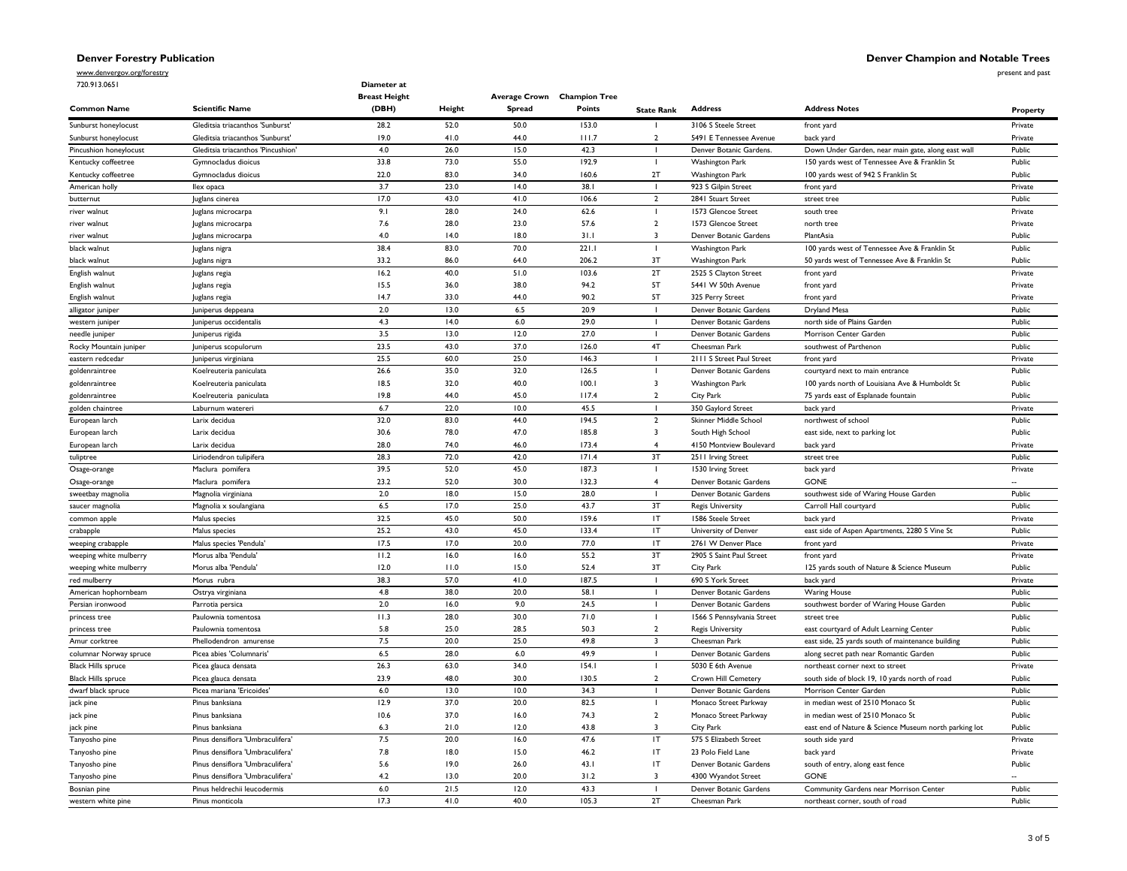present and past

www.denvergov.org/forestry 720.913.0651

| 720.913.0651              |                                    | Diameter at<br><b>Breast Height</b> |        | Average Crown Champion Tree |        |                            |                            |                                                       |          |
|---------------------------|------------------------------------|-------------------------------------|--------|-----------------------------|--------|----------------------------|----------------------------|-------------------------------------------------------|----------|
| <b>Common Name</b>        | <b>Scientific Name</b>             | (DBH)                               | Height | <b>Spread</b>               | Points | <b>State Rank</b>          | <b>Address</b>             | <b>Address Notes</b>                                  | Property |
| Sunburst honeylocust      | Gleditsia triacanthos 'Sunburst'   | 28.2                                | 52.0   | 50.0                        | 153.0  |                            | 3106 S Steele Street       | front yard                                            | Private  |
| Sunburst honeylocust      | Gleditsia triacanthos 'Sunburst'   | 19.0                                | 41.0   | 44.0                        | 111.7  | $\mathcal{L}$              | 5491 E Tennessee Avenue    | back yard                                             | Private  |
| Pincushion honeylocust    | Gleditsia triacanthos 'Pincushion' | $4.0$                               | 26.0   | 15.0                        | 42.3   |                            | Denver Botanic Gardens.    | Down Under Garden, near main gate, along east wall    | Public   |
| Kentucky coffeetree       | Gymnocladus dioicus                | 33.8                                | 73.0   | 55.0                        | 192.9  |                            | Washington Park            | 150 yards west of Tennessee Ave & Franklin St         | Public   |
| Kentucky coffeetree       | Gymnocladus dioicus                | 22.0                                | 83.0   | 34.0                        | 160.6  | 2T                         | Washington Park            | 100 yards west of 942 S Franklin St                   | Public   |
| American holly            | llex opaca                         | 3.7                                 | 23.0   | 14.0                        | 38.1   |                            | 923 S Gilpin Street        | front yard                                            | Private  |
| butternut                 | Juglans cinerea                    | 17.0                                | 43.0   | 41.0                        | 106.6  | $\overline{2}$             | 2841 Stuart Street         | street tree                                           | Public   |
| river walnut              | Juglans microcarpa                 | 9.1                                 | 28.0   | 24.0                        | 62.6   |                            | 1573 Glencoe Street        | south tree                                            | Private  |
| river walnut              | Juglans microcarpa                 | 7.6                                 | 28.0   | 23.0                        | 57.6   | $\overline{2}$             | 1573 Glencoe Street        | north tree                                            | Private  |
| river walnut              | Juglans microcarpa                 | 4.0                                 | 14.0   | 18.0                        | 31.1   | 3                          | Denver Botanic Gardens     | PlantAsia                                             | Public   |
| black walnut              | Juglans nigra                      | 38.4                                | 83.0   | 70.0                        | 221.1  | J.                         | Washington Park            | 100 yards west of Tennessee Ave & Franklin St         | Public   |
| black walnut              | Juglans nigra                      | 33.2                                | 86.0   | 64.0                        | 206.2  | 3T                         | <b>Washington Park</b>     | 50 yards west of Tennessee Ave & Franklin St          | Public   |
| English walnut            | Juglans regia                      | 16.2                                | 40.0   | 51.0                        | 103.6  | 2T                         | 2525 S Clayton Street      | front yard                                            | Private  |
| English walnut            | Juglans regia                      | 15.5                                | 36.0   | 38.0                        | 94.2   | 5T                         | 5441 W 50th Avenue         | front yard                                            | Private  |
| English walnut            | Juglans regia                      | 14.7                                | 33.0   | 44.0                        | 90.2   | 5T                         | 325 Perry Street           | front yard                                            | Private  |
| alligator juniper         | Juniperus deppeana                 | 2.0                                 | 13.0   | 6.5                         | 20.9   |                            | Denver Botanic Gardens     | Dryland Mesa                                          | Public   |
| western juniper           | Juniperus occidentalis             | 4.3                                 | 14.0   | 6.0                         | 29.0   | $\mathbf{I}$               | Denver Botanic Gardens     | north side of Plains Garden                           | Public   |
| needle juniper            | Juniperus rigida                   | 3.5                                 | 13.0   | 12.0                        | 27.0   |                            | Denver Botanic Gardens     | Morrison Center Garden                                | Public   |
| Rocky Mountain juniper    | Juniperus scopulorum               | 23.5                                | 43.0   | 37.0                        | 126.0  | 4T                         | Cheesman Park              | southwest of Parthenon                                | Public   |
| eastern redcedar          | Juniperus virginiana               | 25.5                                | 60.0   | 25.0                        | 146.3  |                            | 2111 S Street Paul Street  | front yard                                            | Private  |
| goldenraintree            | Koelreuteria paniculata            | 26.6                                | 35.0   | 32.0                        | 126.5  |                            | Denver Botanic Gardens     | courtyard next to main entrance                       | Public   |
| goldenraintree            | Koelreuteria paniculata            | 18.5                                | 32.0   | 40.0                        | 100.1  | 3                          | Washington Park            | 100 yards north of Louisiana Ave & Humboldt St        | Public   |
| goldenraintree            | Koelreuteria paniculata            | 19.8                                | 44.0   | 45.0                        | 117.4  | $\overline{2}$             | City Park                  | 75 yards east of Esplanade fountain                   | Public   |
| golden chaintree          | Laburnum watereri                  | 6.7                                 | 22.0   | 10.0                        | 45.5   |                            | 350 Gaylord Street         | back yard                                             | Private  |
| European larch            | Larix decidua                      | 32.0                                | 83.0   | 44.0                        | 194.5  | $\overline{2}$             | Skinner Middle School      | northwest of school                                   | Public   |
| European larch            | Larix decidua                      | 30.6                                | 78.0   | 47.0                        | 185.8  | 3                          | South High School          | east side, next to parking lot                        | Public   |
| European larch            | Larix decidua                      | 28.0                                | 74.0   | 46.0                        | 173.4  | $\overline{4}$             | 4150 Montview Boulevard    | back yard                                             | Private  |
| tuliptree                 | Liriodendron tulipifera            | 28.3                                | 72.0   | 42.0                        | 171.4  | 3T                         | 2511 Irving Street         | street tree                                           | Public   |
| Osage-orange              | Maclura pomifera                   | 39.5                                | 52.0   | 45.0                        | 187.3  |                            | 1530 Irving Street         | back yard                                             | Private  |
| Osage-orange              | Maclura pomifera                   | 23.2                                | 52.0   | 30.0                        | 132.3  | $\overline{4}$             | Denver Botanic Gardens     | <b>GONE</b>                                           | $\sim$   |
| sweetbay magnolia         | Magnolia virginiana                | 2.0                                 | 18.0   | 15.0                        | 28.0   |                            | Denver Botanic Gardens     | southwest side of Waring House Garden                 | Public   |
| saucer magnolia           | Magnolia x soulangiana             | $6.5\,$                             | 17.0   | 25.0                        | 43.7   | 3T                         | <b>Regis University</b>    | Carroll Hall courtyard                                | Public   |
| common apple              | Malus species                      | 32.5                                | 45.0   | 50.0                        | 159.6  | IT                         | 1586 Steele Street         | back yard                                             | Private  |
| crabapple                 | Malus species                      | 25.2                                | 43.0   | 45.0                        | 133.4  | IT                         | University of Denver       | east side of Aspen Apartments, 2280 S Vine St         | Public   |
| weeping crabapple         | Malus species 'Pendula'            | 17.5                                | 17.0   | 20.0                        | 77.0   | IT                         | 2761 W Denver Place        | front yard                                            | Private  |
| weeping white mulberry    | Morus alba 'Pendula'               | 11.2                                | 16.0   | 16.0                        | 55.2   | 3T                         | 2905 S Saint Paul Street   | front yard                                            | Private  |
| weeping white mulberry    | Morus alba 'Pendula'               | 12.0                                | 11.0   | 15.0                        | 52.4   | 3T                         | City Park                  | 125 yards south of Nature & Science Museum            | Public   |
| red mulberry              | Morus rubra                        | 38.3                                | 57.0   | 41.0                        | 187.5  | $\blacksquare$             | 690 S York Street          | back yard                                             | Private  |
| American hophornbeam      | Ostrya virginiana                  | 4.8                                 | 38.0   | 20.0                        | 58.I   |                            | Denver Botanic Gardens     | <b>Waring House</b>                                   | Public   |
| Persian ironwood          | Parrotia persica                   | 2.0                                 | 16.0   | 9.0                         | 24.5   |                            | Denver Botanic Gardens     | southwest border of Waring House Garden               | Public   |
| princess tree             | Paulownia tomentosa                | 11.3                                | 28.0   | 30.0                        | 71.0   |                            | 1566 S Pennsylvania Street | street tree                                           | Public   |
| princess tree             | Paulownia tomentosa                | 5.8                                 | 25.0   | 28.5                        | 50.3   | $\overline{2}$             | <b>Regis University</b>    | east courtyard of Adult Learning Center               | Public   |
| Amur corktree             | Phellodendron amurense             | 7.5                                 | 20.0   | 25.0                        | 49.8   | $\overline{3}$             | Cheesman Park              | east side, 25 yards south of maintenance building     | Public   |
| columnar Norway spruce    | Picea abies 'Columnaris            | $6.5\,$                             | 28.0   | 6.0                         | 49.9   |                            | Denver Botanic Gardens     | along secret path near Romantic Garden                | Public   |
| <b>Black Hills spruce</b> | Picea glauca densata               | 26.3                                | 63.0   | 34.0                        | 154.1  |                            | 5030 E 6th Avenue          | northeast corner next to street                       | Private  |
| <b>Black Hills spruce</b> | Picea glauca densata               | 23.9                                | 48.0   | 30.0                        | 130.5  | $\overline{2}$             | Crown Hill Cemetery        | south side of block 19, 10 yards north of road        | Public   |
| dwarf black spruce        | Picea mariana 'Ericoides'          | $6.0$                               | 13.0   | 10.0                        | 34.3   |                            | Denver Botanic Gardens     | Morrison Center Garden                                | Public   |
| jack pine                 | Pinus banksiana                    | 12.9                                | 37.0   | 20.0                        | 82.5   |                            | Monaco Street Parkway      | in median west of 2510 Monaco St                      | Public   |
| jack pine                 | Pinus banksiana                    | 10.6                                | 37.0   | 16.0                        | 74.3   | $\overline{2}$             | Monaco Street Parkway      | in median west of 2510 Monaco St                      | Public   |
| jack pine                 | Pinus banksiana                    | 6.3                                 | 21.0   | 12.0                        | 43.8   | $\overline{3}$             | City Park                  | east end of Nature & Science Museum north parking lot | Public   |
| Tanyosho pine             | Pinus densiflora 'Umbraculifera    | 7.5                                 | 20.0   | 16.0                        | 47.6   | $\mathsf{I}\mathsf{T}$     | 575 S Elizabeth Street     | south side yard                                       | Private  |
| Tanyosho pine             | Pinus densiflora 'Umbraculifera    | 7.8                                 | 18.0   | 15.0                        | 46.2   | $\ensuremath{\mathsf{IT}}$ | 23 Polo Field Lane         | back yard                                             | Private  |
| Tanyosho pine             | Pinus densiflora 'Umbraculifera    | 5.6                                 | 19.0   | 26.0                        | 43.1   | IT                         | Denver Botanic Gardens     | south of entry, along east fence                      | Public   |
| Tanyosho pine             | Pinus densiflora 'Umbraculifera    | 4.2                                 | 13.0   | 20.0                        | 31.2   | $\overline{\mathbf{3}}$    | 4300 Wyandot Street        | <b>GONE</b>                                           |          |
| Bosnian pine              | Pinus heldrechii leucodermis       | $6.0\,$                             | 21.5   | 12.0                        | 43.3   | ı                          | Denver Botanic Gardens     | Community Gardens near Morrison Center                | Public   |
| western white pine        | Pinus monticola                    | 17.3                                | 41.0   | 40.0                        | 105.3  | 2T                         | Cheesman Park              | northeast corner, south of road                       | Public   |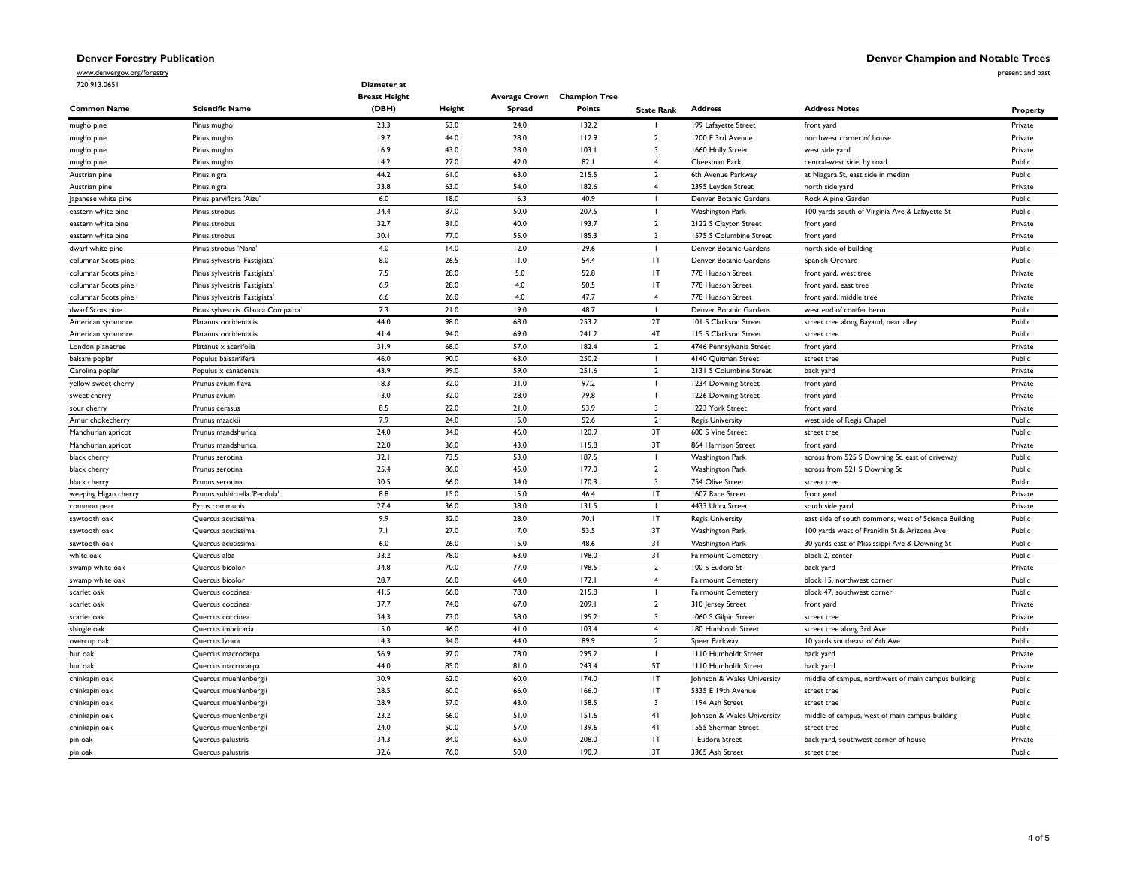**Denver Champion and Notable Trees**

www.denvergov.org/forestry

720.913.0651

present and past

|                      |                                    | <b>Breast Height</b> |              |               | Average Crown Champion Tree |                         |                             |                                                      |          |
|----------------------|------------------------------------|----------------------|--------------|---------------|-----------------------------|-------------------------|-----------------------------|------------------------------------------------------|----------|
| <b>Common Name</b>   | <b>Scientific Name</b>             | (DBH)                | Height       | <b>Spread</b> | <b>Points</b>               | <b>State Rank</b>       | <b>Address</b>              | <b>Address Notes</b>                                 | Property |
| mugho pine           | Pinus mugho                        | 23.3                 | 53.0         | 24.0          | 132.2                       |                         | 199 Lafayette Street        | front yard                                           | Private  |
| mugho pine           | Pinus mugho                        | 19.7                 | 44.0         | 28.0          | 112.9                       | $\overline{2}$          | 1200 E 3rd Avenue           | northwest corner of house                            | Private  |
| mugho pine           | Pinus mugho                        | 16.9                 | 43.0         | 28.0          | 103.1                       | $\overline{\mathbf{3}}$ | 1660 Holly Street           | west side yard                                       | Private  |
| mugho pine           | Pinus mugho                        | 14.2                 | 27.0         | 42.0          | 82.1                        | $\overline{\mathbf{4}}$ | Cheesman Park               | central-west side, by road                           | Public   |
| Austrian pine        | Pinus nigra                        | 44.2                 | 61.0         | 63.0          | 215.5                       | $\overline{2}$          | 6th Avenue Parkway          | at Niagara St, east side in median                   | Public   |
| Austrian pine        | Pinus nigra                        | 33.8                 | 63.0         | 54.0          | 182.6                       | $\overline{4}$          | 2395 Leyden Street          | north side yard                                      | Private  |
| Japanese white pine  | Pinus parviflora 'Aizu'            | 6.0                  | 18.0         | 16.3          | 40.9                        |                         | Denver Botanic Gardens      | Rock Alpine Garden                                   | Public   |
| eastern white pine   | Pinus strobus                      | 34.4                 | 87.0         | 50.0          | 207.5                       |                         | <b>Washington Park</b>      | 100 yards south of Virginia Ave & Lafayette St       | Public   |
| eastern white pine   | Pinus strobus                      | 32.7                 | 81.0         | 40.0          | 193.7                       | $\overline{2}$          | 2122 S Clayton Street       | front yard                                           | Private  |
| eastern white pine   | Pinus strobus                      | 30.1                 | 77.0         | 55.0          | 185.3                       | $\overline{\mathbf{3}}$ | 1575 S Columbine Street     | front yard                                           | Private  |
| dwarf white pine     | Pinus strobus 'Nana'               | 4.0                  | 14.0         | 12.0          | 29.6                        |                         | Denver Botanic Gardens      | north side of building                               | Public   |
| columnar Scots pine  | Pinus sylvestris 'Fastigiata'      | 8.0                  | 26.5         | 11.0          | 54.4                        | IT                      | Denver Botanic Gardens      | Spanish Orchard                                      | Public   |
| columnar Scots pine  | Pinus sylvestris 'Fastigiata'      | 7.5                  | 28.0         | 5.0           | 52.8                        | IT                      | 778 Hudson Street           | front yard, west tree                                | Private  |
| columnar Scots pine  | Pinus sylvestris 'Fastigiata'      | 6.9                  | 28.0         | 4.0           | 50.5                        | IT                      | 778 Hudson Street           | front yard, east tree                                | Private  |
| columnar Scots pine  | Pinus sylvestris 'Fastigiata'      | 6.6                  | 26.0         | 4.0           | 47.7                        | $\overline{4}$          | 778 Hudson Street           | front yard, middle tree                              | Private  |
| dwarf Scots pine     | Pinus sylvestris 'Glauca Compacta' | 7.3                  | 21.0         | 19.0          | 48.7                        |                         | Denver Botanic Gardens      | west end of conifer berm                             | Public   |
| American sycamore    | Platanus occidentalis              | 44.0                 | 98.0         | 68.0          | 253.2                       | 2T                      | 101 S Clarkson Street       | street tree along Bayaud, near alley                 | Public   |
|                      |                                    |                      | 94.0         | 69.0          |                             | 4T                      |                             |                                                      | Public   |
| American sycamore    | Platanus occidentalis              | 41.4                 |              |               | 241.2                       | $\overline{2}$          | 115 S Clarkson Street       | street tree                                          |          |
| London planetree     | Platanus x acerifolia              | 31.9<br>46.0         | 68.0<br>90.0 | 57.0<br>63.0  | 182.4<br>250.2              |                         | 4746 Pennsylvania Street    | front yard                                           | Private  |
| balsam poplar        | Populus balsamifera                |                      |              |               |                             | $\mathbf{I}$            | 4140 Quitman Street         | street tree                                          | Public   |
| Carolina poplar      | Populus x canadensis               | 43.9                 | 99.0         | 59.0          | 251.6                       | $\overline{2}$          | 2131 S Columbine Street     | back yard                                            | Private  |
| yellow sweet cherry  | Prunus avium flava                 | 18.3                 | 32.0         | 31.0          | 97.2                        |                         | 1234 Downing Street         | front yard                                           | Private  |
| sweet cherry         | Prunus avium                       | 13.0                 | 32.0         | 28.0          | 79.8                        |                         | 1226 Downing Street         | front yard                                           | Private  |
| sour cherry          | Prunus cerasus                     | 8.5                  | 22.0         | 21.0          | 53.9                        | $\overline{3}$          | 1223 York Street            | front yard                                           | Private  |
| Amur chokecherry     | Prunus maackii                     | 7.9                  | 24.0         | 15.0          | 52.6                        | $\overline{2}$          | <b>Regis University</b>     | west side of Regis Chapel                            | Public   |
| Manchurian apricot   | Prunus mandshurica                 | 24.0                 | 34.0         | 46.0          | 120.9                       | 3T                      | 600 S Vine Street           | street tree                                          | Public   |
| Manchurian apricot   | Prunus mandshurica                 | 22.0                 | 36.0         | 43.0          | 115.8                       | 3T                      | 864 Harrison Street         | front yard                                           | Private  |
| black cherry         | Prunus serotina                    | 32.1                 | 73.5         | 53.0          | 187.5                       |                         | Washington Park             | across from 525 S Downing St, east of driveway       | Public   |
| black cherry         | Prunus serotina                    | 25.4                 | 86.0         | 45.0          | 177.0                       | $\overline{2}$          | Washington Park             | across from 521 S Downing St                         | Public   |
| black cherry         | Prunus serotina                    | 30.5                 | 66.0         | 34.0          | 170.3                       | $\overline{\mathbf{3}}$ | 754 Olive Street            | street tree                                          | Public   |
| weeping Higan cherry | Prunus subhirtella 'Pendula'       | 8.8                  | 15.0         | 15.0          | 46.4                        | IT                      | 1607 Race Street            | front yard                                           | Private  |
| common pear          | Pyrus communis                     | 27.4                 | 36.0         | 38.0          | 131.5                       |                         | 4433 Utica Street           | south side yard                                      | Private  |
| sawtooth oak         | Quercus acutissima                 | 9.9                  | 32.0         | 28.0          | 70.1                        | IT                      | <b>Regis University</b>     | east side of south commons, west of Science Building | Public   |
| sawtooth oak         | Quercus acutissima                 | 7.1                  | 27.0         | 17.0          | 53.5                        | 3T                      | Washington Park             | 100 yards west of Franklin St & Arizona Ave          | Public   |
| sawtooth oak         | Quercus acutissima                 | $6.0\,$              | 26.0         | 15.0          | 48.6                        | 3T                      | Washington Park             | 30 yards east of Mississippi Ave & Downing St        | Public   |
| white oak            | Quercus alba                       | 33.2                 | 78.0         | 63.0          | 198.0                       | 3T                      | Fairmount Cemetery          | block 2, center                                      | Public   |
| swamp white oak      | Quercus bicolor                    | 34.8                 | 70.0         | 77.0          | 198.5                       | $\overline{2}$          | 100 S Eudora St             | back yard                                            | Private  |
| swamp white oak      | Quercus bicolor                    | 28.7                 | 66.0         | 64.0          | 172.1                       | $\overline{4}$          | <b>Fairmount Cemetery</b>   | block 15, northwest corner                           | Public   |
| scarlet oak          | Quercus coccinea                   | 41.5                 | 66.0         | 78.0          | 215.8                       |                         | <b>Fairmount Cemetery</b>   | block 47, southwest corner                           | Public   |
| scarlet oak          | Quercus coccinea                   | 37.7                 | 74.0         | 67.0          | 209.1                       | $\overline{2}$          | 310 Jersey Street           | front yard                                           | Private  |
| scarlet oak          | Quercus coccinea                   | 34.3                 | 73.0         | 58.0          | 195.2                       | $\overline{3}$          | 1060 S Gilpin Street        | street tree                                          | Private  |
| shingle oak          | Quercus imbricaria                 | 15.0                 | 46.0         | 41.0          | 103.4                       | $\overline{4}$          | 180 Humboldt Street         | street tree along 3rd Ave                            | Public   |
| overcup oak          | Quercus lyrata                     | 14.3                 | 34.0         | 44.0          | 89.9                        | $\overline{2}$          | Speer Parkway               | 10 yards southeast of 6th Ave                        | Public   |
| bur oak              | Quercus macrocarpa                 | 56.9                 | 97.0         | 78.0          | 295.2                       |                         | <b>III0 Humboldt Street</b> | back yard                                            | Private  |
| bur oak              | Quercus macrocarpa                 | 44.0                 | 85.0         | 81.0          | 243.4                       | 5T                      | <b>III0 Humboldt Street</b> | back yard                                            | Private  |
| chinkapin oak        | Quercus muehlenbergii              | 30.9                 | 62.0         | 60.0          | 174.0                       | IT                      | Johnson & Wales University  | middle of campus, northwest of main campus building  | Public   |
| chinkapin oak        | Quercus muehlenbergii              | 28.5                 | 60.0         | 66.0          | 166.0                       | IT                      | 5335 E 19th Avenue          | street tree                                          | Public   |
| chinkapin oak        | Quercus muehlenbergii              | 28.9                 | 57.0         | 43.0          | 158.5                       | $\overline{\mathbf{3}}$ | 1194 Ash Street             | street tree                                          | Public   |
| chinkapin oak        | Quercus muehlenbergii              | 23.2                 | 66.0         | 51.0          | 151.6                       | 4T                      | Johnson & Wales University  | middle of campus, west of main campus building       | Public   |
| chinkapin oak        | Quercus muehlenbergii              | 24.0                 | 50.0         | 57.0          | 139.6                       | 4T                      | 1555 Sherman Street         | street tree                                          | Public   |
| pin oak              | Quercus palustris                  | 34.3                 | 84.0         | 65.0          | 208.0                       | IT                      | I Eudora Street             | back yard, southwest corner of house                 | Private  |
|                      |                                    |                      |              |               |                             |                         |                             |                                                      |          |

pin oak Quercus palustris 32.6 76.0 50.0 190.9 3T 3365 Ash Street street tree Public

**Diameter at**